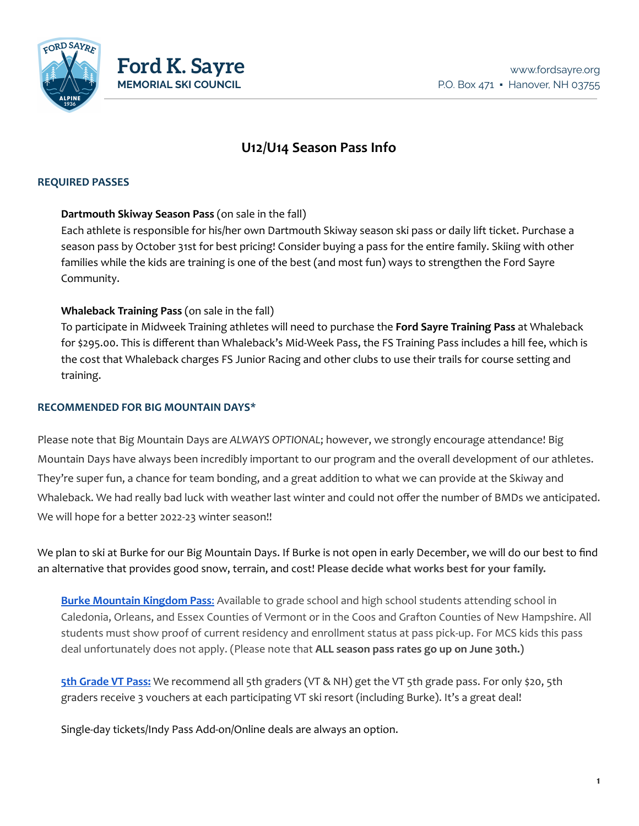

# **U12/U14 Season Pass Info**

### **REQUIRED PASSES**

### **Dartmouth Skiway Season Pass** (on sale in the fall)

Each athlete is responsible for his/her own Dartmouth Skiway season ski pass or daily lift ticket. Purchase a season pass by October 31st for best pricing! Consider buying a pass for the entire family. Skiing with other families while the kids are training is one of the best (and most fun) ways to strengthen the Ford Sayre Community.

## **Whaleback Training Pass** (on sale in the fall)

To participate in Midweek Training athletes will need to purchase the **Ford Sayre Training Pass** at Whaleback for \$295.00. This is different than Whaleback's Mid-Week Pass, the FS Training Pass includes a hill fee, which is the cost that Whaleback charges FS Junior Racing and other clubs to use their trails for course setting and training.

## **RECOMMENDED FOR BIG MOUNTAIN DAYS\***

Please note that Big Mountain Days are *ALWAYS OPTIONAL*; however, we strongly encourage attendance! Big Mountain Days have always been incredibly important to our program and the overall development of our athletes. They're super fun, a chance for team bonding, and a great addition to what we can provide at the Skiway and Whaleback. We had really bad luck with weather last winter and could not offer the number of BMDs we anticipated. We will hope for a better 2022-23 winter season!!

We plan to ski at Burke for our Big Mountain Days. If Burke is not open in early December, we will do our best to find an alternative that provides good snow, terrain, and cost! **Please decide what works best for your family.**

**Burke [Mountain](https://www.skiburke.com/skiing-and-riding/tickets-and-passes/season-passes/) Kingdom Pass**: Available to grade school and high school students attending school in Caledonia, Orleans, and Essex Counties of Vermont or in the Coos and Grafton Counties of New Hampshire. All students must show proof of current residency and enrollment status at pass pick-up. For MCS kids this pass deal unfortunately does not apply. (Please note that **ALL season pass rates go up on June 30th.)**

**5th [Grade](https://skivermont.com/fifth-grade-passport) VT Pass:** We recommend all 5th graders (VT & NH) get the VT 5th grade pass. For only \$20, 5th graders receive 3 vouchers at each participating VT ski resort (including Burke). It's a great deal!

Single-day tickets/Indy Pass Add-on/Online deals are always an option.